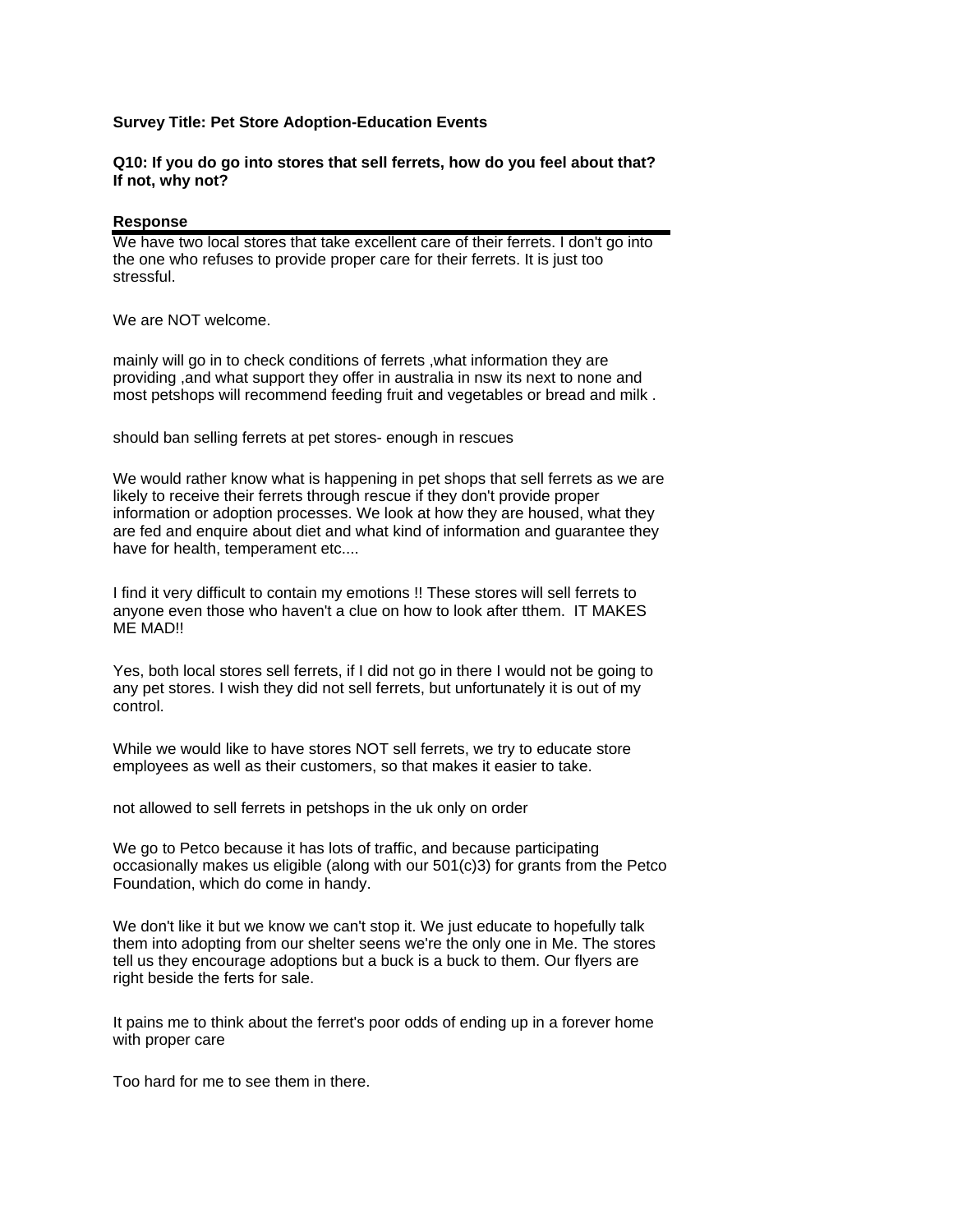## **Survey Title: Pet Store Adoption-Education Events**

## **Q10: If you do go into stores that sell ferrets, how do you feel about that? If not, why not?**

## **Response**

We have two local stores that take excellent care of their ferrets. I don't go into the one who refuses to provide proper care for their ferrets. It is just too stressful.

We are NOT welcome.

mainly will go in to check conditions of ferrets ,what information they are providing ,and what support they offer in australia in nsw its next to none and most petshops will recommend feeding fruit and vegetables or bread and milk .

should ban selling ferrets at pet stores- enough in rescues

We would rather know what is happening in pet shops that sell ferrets as we are likely to receive their ferrets through rescue if they don't provide proper information or adoption processes. We look at how they are housed, what they are fed and enquire about diet and what kind of information and guarantee they have for health, temperament etc....

I find it very difficult to contain my emotions !! These stores will sell ferrets to anyone even those who haven't a clue on how to look after tthem. IT MAKES ME MAD!!

Yes, both local stores sell ferrets, if I did not go in there I would not be going to any pet stores. I wish they did not sell ferrets, but unfortunately it is out of my control.

While we would like to have stores NOT sell ferrets, we try to educate store employees as well as their customers, so that makes it easier to take.

not allowed to sell ferrets in petshops in the uk only on order

We go to Petco because it has lots of traffic, and because participating occasionally makes us eligible (along with our 501(c)3) for grants from the Petco Foundation, which do come in handy.

We don't like it but we know we can't stop it. We just educate to hopefully talk them into adopting from our shelter seens we're the only one in Me. The stores tell us they encourage adoptions but a buck is a buck to them. Our flyers are right beside the ferts for sale.

It pains me to think about the ferret's poor odds of ending up in a forever home with proper care

Too hard for me to see them in there.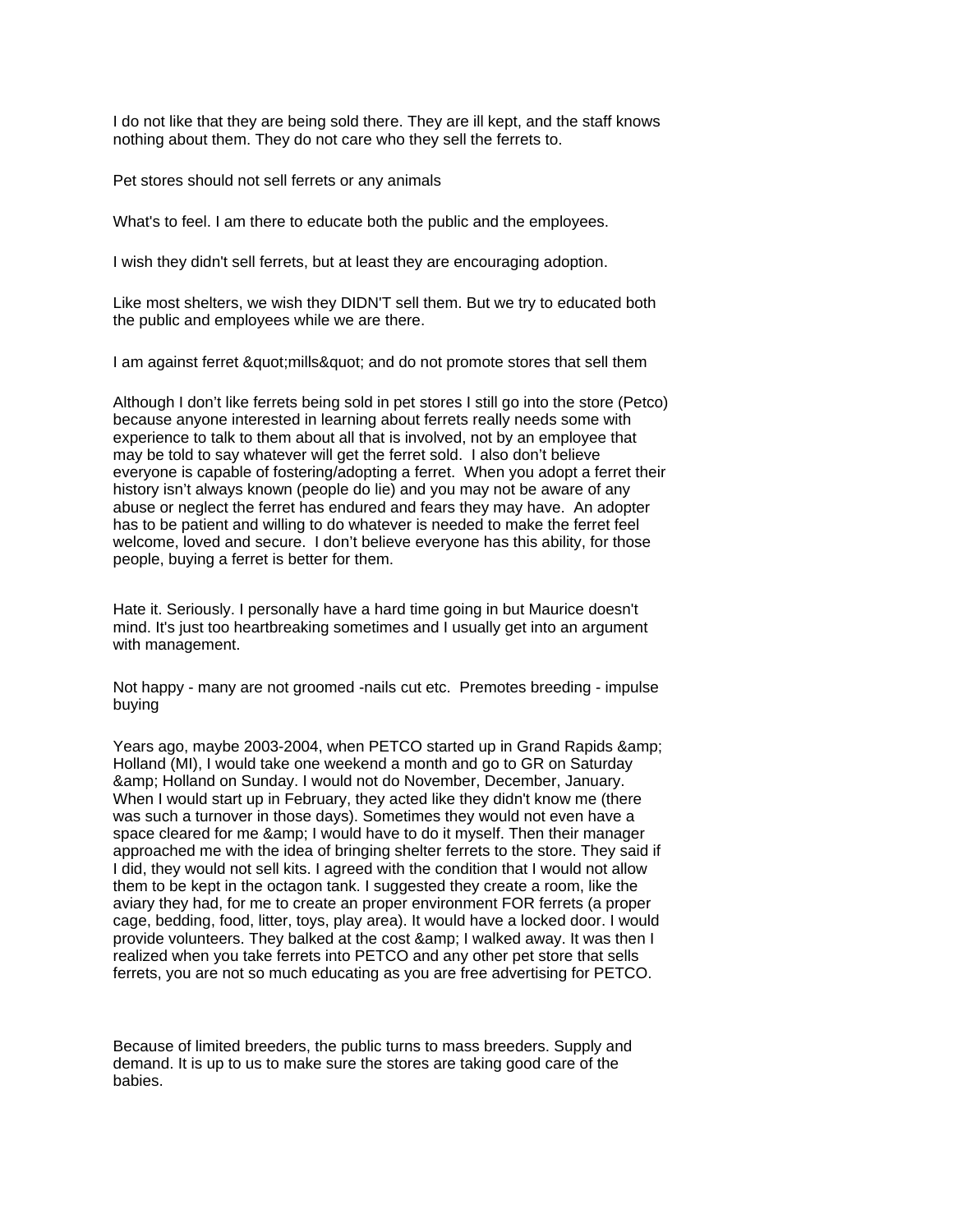I do not like that they are being sold there. They are ill kept, and the staff knows nothing about them. They do not care who they sell the ferrets to.

Pet stores should not sell ferrets or any animals

What's to feel. I am there to educate both the public and the employees.

I wish they didn't sell ferrets, but at least they are encouraging adoption.

Like most shelters, we wish they DIDN'T sell them. But we try to educated both the public and employees while we are there.

I am against ferret " mills" and do not promote stores that sell them

Although I don't like ferrets being sold in pet stores I still go into the store (Petco) because anyone interested in learning about ferrets really needs some with experience to talk to them about all that is involved, not by an employee that may be told to say whatever will get the ferret sold. I also don't believe everyone is capable of fostering/adopting a ferret. When you adopt a ferret their history isn't always known (people do lie) and you may not be aware of any abuse or neglect the ferret has endured and fears they may have. An adopter has to be patient and willing to do whatever is needed to make the ferret feel welcome, loved and secure. I don't believe everyone has this ability, for those people, buying a ferret is better for them.

Hate it. Seriously. I personally have a hard time going in but Maurice doesn't mind. It's just too heartbreaking sometimes and I usually get into an argument with management.

Not happy - many are not groomed -nails cut etc. Premotes breeding - impulse buying

Years ago, maybe 2003-2004, when PETCO started up in Grand Rapids & Holland (MI), I would take one weekend a month and go to GR on Saturday & Holland on Sunday. I would not do November, December, January. When I would start up in February, they acted like they didn't know me (there was such a turnover in those days). Sometimes they would not even have a space cleared for me & amp: I would have to do it myself. Then their manager approached me with the idea of bringing shelter ferrets to the store. They said if I did, they would not sell kits. I agreed with the condition that I would not allow them to be kept in the octagon tank. I suggested they create a room, like the aviary they had, for me to create an proper environment FOR ferrets (a proper cage, bedding, food, litter, toys, play area). It would have a locked door. I would provide volunteers. They balked at the cost & amp; I walked away. It was then I realized when you take ferrets into PETCO and any other pet store that sells ferrets, you are not so much educating as you are free advertising for PETCO.

Because of limited breeders, the public turns to mass breeders. Supply and demand. It is up to us to make sure the stores are taking good care of the babies.